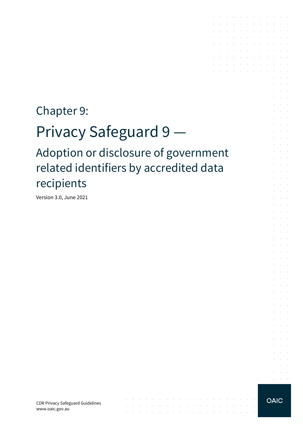# Chapter 9:

# Privacy Safeguard 9

Adoption or disclosure of government related identifiers by accredited data recipients

 $\mathcal{A}$  . The contribution of the contribution of  $\mathcal{A}$ 

 $\alpha$  , and  $\alpha$  , and  $\alpha$  , and  $\alpha$  , and  $\alpha$  , and  $\alpha$  , and  $\alpha$  , and  $\alpha$  , and

Version 3.0, June 2021

CDR Privacy Safeguard Guidelines www.oaic.gov.au

 $\sim 10^{-11}$   $\rm{cm}$ 

 $\alpha$  , and  $\alpha$ 

the company of the company

the contract of the contract of the company of the company of the

÷

 $\ddot{\phantom{a}}$  $\sim$ 

 $\sim$ 

 $\sim$ 

 $\sim$   $\sim$  $\mathbf{r}$  , and  $\mathbf{r}$  , and  $\mathbf{r}$  , and  $\mathbf{r}$  $\ddot{\phantom{a}}$ the contract of the contract of <u>.</u> . . . . . . . . . .

 $\bar{z}$ 

 $\sim$   $\sim$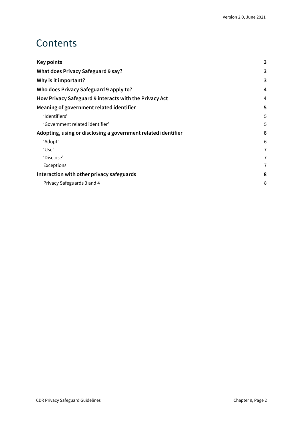### **Contents**

| 3 |
|---|
| 3 |
| 3 |
| 4 |
| 4 |
| 5 |
| 5 |
| 5 |
| 6 |
| 6 |
| 7 |
| 7 |
| 7 |
| 8 |
| 8 |
|   |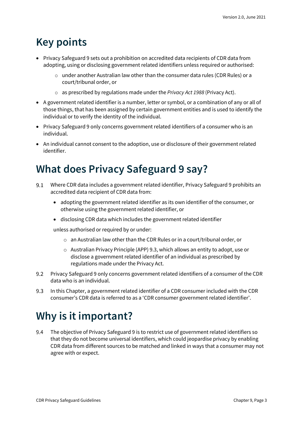# <span id="page-2-0"></span>**Key points**

- Privacy Safeguard 9 sets out a prohibition on accredited data recipients of CDR data from adopting, using or disclosing government related identifiers unless required or authorised:
	- o under another Australian law other than the consumer data rules (CDR Rules) or a court/tribunal order, or
	- o as prescribed by regulations made under the *Privacy Act 1988* (Privacy Act).
- A government related identifier is a number, letter or symbol, or a combination of any or all of those things, that has been assigned by certain government entities and is used to identify the individual or to verify the identity of the individual.
- Privacy Safeguard 9 only concerns government related identifiers of a consumer who is an individual.
- An individual cannot consent to the adoption, use or disclosure of their government related identifier.

# <span id="page-2-1"></span>**What does Privacy Safeguard 9 say?**

- $9.1$ Where CDR data includes a government related identifier, Privacy Safeguard 9 prohibits an accredited data recipient of CDR data from:
	- adopting the government related identifier as its own identifier of the consumer, or otherwise using the government related identifier, or
	- disclosing CDR data which includes the government related identifier

unless authorised or required by or under:

- o an Australian law other than the CDR Rules or in a court/tribunal order, or
- o Australian Privacy Principle (APP) 9.3, which allows an entity to adopt, use or disclose a government related identifier of an individual as prescribed by regulations made under the Privacy Act.
- $9.2$ Privacy Safeguard 9 only concerns government related identifiers of a consumer of the CDR data who is an individual.
- In this Chapter, a government related identifier of a CDR consumer included with the CDR 9.3 consumer's CDR data is referred to as a 'CDR consumer government related identifier'.

## <span id="page-2-2"></span>**Why is it important?**

9.4 The objective of Privacy Safeguard 9 is to restrict use of government related identifiers so that they do not become universal identifiers, which could jeopardise privacy by enabling CDR data from different sources to be matched and linked in ways that a consumer may not agree with or expect.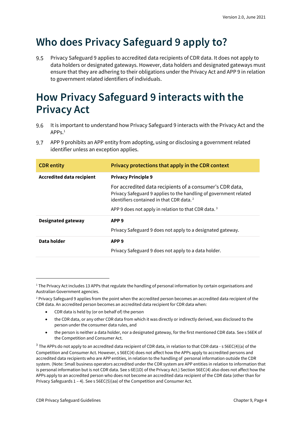### <span id="page-3-0"></span>**Who does Privacy Safeguard 9 apply to?**

Privacy Safeguard 9 applies to accredited data recipients of CDR data. It does not apply to 9.5 data holders or designated gateways. However, data holders and designated gateways must ensure that they are adhering to their obligations under the Privacy Act and APP 9 in relation to government related identifiers of individuals.

### <span id="page-3-1"></span>**How Privacy Safeguard 9 interacts with the Privacy Act**

- It is important to understand how Privacy Safeguard 9 interacts with the Privacy Act and the 9.6  $APPs<sup>1</sup>$
- 9.7 APP 9 prohibits an APP entity from adopting, using or disclosing a government related identifier unless an exception applies.

| <b>CDR</b> entity                | Privacy protections that apply in the CDR context                                                                                                                                                                                                        |
|----------------------------------|----------------------------------------------------------------------------------------------------------------------------------------------------------------------------------------------------------------------------------------------------------|
| <b>Accredited data recipient</b> | <b>Privacy Principle 9</b>                                                                                                                                                                                                                               |
|                                  | For accredited data recipients of a consumer's CDR data,<br>Privacy Safeguard 9 applies to the handling of government related<br>identifiers contained in that CDR data. <sup>2</sup><br>APP 9 does not apply in relation to that CDR data. <sup>3</sup> |
| <b>Designated gateway</b>        | APP <sub>9</sub>                                                                                                                                                                                                                                         |
|                                  | Privacy Safeguard 9 does not apply to a designated gateway.                                                                                                                                                                                              |
| Data holder                      | APP <sub>9</sub>                                                                                                                                                                                                                                         |
|                                  | Privacy Safeguard 9 does not apply to a data holder.                                                                                                                                                                                                     |

<sup>2</sup> Privacy Safeguard 9 applies from the point when the accredited person becomes an accredited data recipient of the CDR data. An accredited person becomes an accredited data recipient for CDR data when:

- CDR data is held by (or on behalf of) the person
- the CDR data, or any other CDR data from which it was directly or indirectly derived, was disclosed to the person under the consumer data rules, and
- the person is neither a data holder, nor a designated gateway, for the first mentioned CDR data. See s 56EK of the Competition and Consumer Act.

<sup>3</sup> The APPs do not apply to an accredited data recipient of CDR data, in relation to that CDR data - s 56EC(4)(a) of the Competition and Consumer Act. However, s 56EC(4) does not affect how the APPs apply to accredited persons and accredited data recipients who are APP entities, in relation to the handling of personal information outside the CDR system. (Note: Small business operators accredited under the CDR system are APP entities in relation to information that is personal information but is not CDR data. See s 6E(1D) of the Privacy Act.) Section 56EC(4) also does not affect how the APPs apply to an accredited person who does not become an accredited data recipient of the CDR data (other than for Privacy Safeguards 1 – 4). See s 56EC(5)(aa) of the Competition and Consumer Act.

<sup>&</sup>lt;sup>1</sup> The Privacy Act includes 13 APPs that regulate the handling of personal information by certain organisations and Australian Government agencies.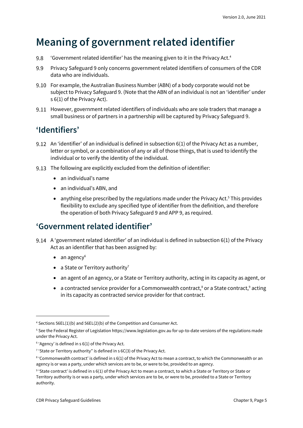# <span id="page-4-0"></span>**Meaning of government related identifier**

- 9.8 'Government related identifier' has the meaning given to it in the Privacy Act. 4
- 9.9 Privacy Safeguard 9 only concerns government related identifiers of consumers of the CDR data who are individuals.
- For example, the Australian Business Number (ABN) of a body corporate would not be subject to Privacy Safeguard 9. (Note that the ABN of an individual is not an 'identifier' under s 6(1) of the Privacy Act).
- 9.11 However, government related identifiers of individuals who are sole traders that manage a small business or of partners in a partnership will be captured by Privacy Safeguard 9.

#### <span id="page-4-1"></span>**'Identifiers'**

- 9.12 An 'identifier' of an individual is defined in subsection 6(1) of the Privacy Act as a number, letter or symbol, or a combination of any or all of those things, that is used to identify the individual or to verify the identity of the individual.
- The following are explicitly excluded from the definition of identifier:
	- an individual's name
	- an individual's ABN, and
	- anything else prescribed by the regulations made under the Privacy Act.<sup>5</sup> This provides flexibility to exclude any specified type of identifier from the definition, and therefore the operation of both Privacy Safeguard 9 and APP 9, as required.

#### <span id="page-4-2"></span>**'Government related identifier'**

- A 'government related identifier' of an individual is defined in subsection 6(1) of the Privacy Act as an identifier that has been assigned by:
	- $\bullet$  an agency<sup>6</sup>
	- a State or Territory authority<sup>7</sup>
	- an agent of an agency, or a State or Territory authority, acting in its capacity as agent, or
	- a contracted service provider for a Commonwealth contract,<sup>8</sup> or a State contract,<sup>9</sup> acting in its capacity as contracted service provider for that contract.

<sup>4</sup> Sections 56EL(1)(b) and 56EL(2)(b) of the Competition and Consumer Act.

<sup>5</sup> See the Federal Register of Legislation https://www.legislation.gov.au for up-to-date versions of the regulations made under the Privacy Act.

<sup>6</sup> 'Agency' is defined in s 6(1) of the Privacy Act.

 $7$  'State or Territory authority" is defined in s 6C(3) of the Privacy Act.

 $^8$  'Commonwealth contract' is defined in s 6(1) of the Privacy Act to mean a contract, to which the Commonwealth or an agency is or was a party, under which services are to be, or were to be, provided to an agency.

 $9$  'State contract' is defined in s 6(1) of the Privacy Act to mean a contract, to which a State or Territory or State or Territory authority is or was a party, under which services are to be, or were to be, provided to a State or Territory authority.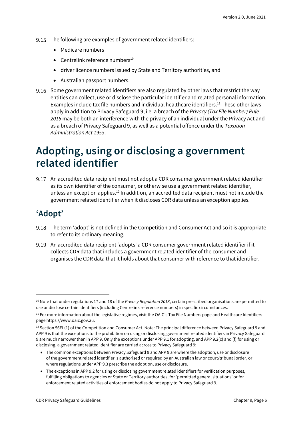- 9.15 The following are examples of government related identifiers:
	- Medicare numbers
	- Centrelink reference numbers $10$
	- driver licence numbers issued by State and Territory authorities, and
	- Australian passport numbers.
- Some government related identifiers are also regulated by other laws that restrict the way entities can collect, use or disclose the particular identifier and related personal information. Examples include tax file numbers and individual healthcare identifiers.<sup>11</sup> These other laws apply in addition to Privacy Safeguard 9, i.e. a breach of the *Privacy (Tax File Number) Rule 2015* may be both an interference with the privacy of an individual under the Privacy Act and as a breach of Privacy Safeguard 9, as well as a potential offence under the *Taxation Administration Act 1953*.

### <span id="page-5-0"></span>**Adopting, using or disclosing a government related identifier**

9.17 An accredited data recipient must not adopt a CDR consumer government related identifier as its own identifier of the consumer, or otherwise use a government related identifier, unless an exception applies.<sup>12</sup> In addition, an accredited data recipient must not include the government related identifier when it discloses CDR data unless an exception applies.

#### <span id="page-5-1"></span>**'Adopt'**

- The term 'adopt' is not defined in the Competition and Consumer Act and so it is appropriate to refer to its ordinary meaning.
- 9.19 An accredited data recipient 'adopts' a CDR consumer government related identifier if it collects CDR data that includes a government related identifier of the consumer and organises the CDR data that it holds about that consumer with reference to that identifier.

• The exceptions in APP 9.2 for using or disclosing government related identifiers for verification purposes, fulfilling obligations to agencies or State or Territory authorities, for 'permitted general situations' or for enforcement related activities of enforcement bodies do not apply to Privacy Safeguard 9.

<sup>&</sup>lt;sup>10</sup> Note that under regulations 17 and 18 of the *Privacy Regulation 2013*, certain prescribed organisations are permitted to use or disclose certain identifiers (including Centrelink reference numbers) in specific circumstances.

 $11$  For more information about the legislative regimes, visit the OAIC's Tax File Numbers page and Healthcare Identifiers page https://www.oaic.gov.au.

<sup>&</sup>lt;sup>12</sup> Section 56EL(1) of the Competition and Consumer Act. Note: The principal difference between Privacy Safeguard 9 and APP 9 is that the exceptions to the prohibition on using or disclosing government related identifiers in Privacy Safeguard 9 are much narrower than in APP 9. Only the exceptions under APP 9.1 for adopting, and APP 9.2(c) and (f) for using or disclosing, a government related identifier are carried across to Privacy Safeguard 9:

<sup>•</sup> The common exceptions between Privacy Safeguard 9 and APP 9 are where the adoption, use or disclosure of the government related identifier is authorised or required by an Australian law or court/tribunal order, or where regulations under APP 9.3 prescribe the adoption, use or disclosure.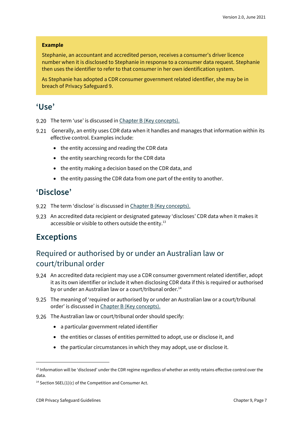#### **Example**

Stephanie, an accountant and accredited person, receives a consumer's driver licence number when it is disclosed to Stephanie in response to a consumer data request. Stephanie then uses the identifier to refer to that consumer in her own identification system.

As Stephanie has adopted a CDR consumer government related identifier, she may be in breach of Privacy Safeguard 9.

#### <span id="page-6-0"></span>**'Use'**

- 9.20 The term 'use' is discussed in [Chapter B \(Key concepts\).](https://www.oaic.gov.au/consumer-data-right/cdr-privacy-safeguard-guidelines/chapter-b-key-concepts)
- Generally, an entity uses CDR data when it handles and manages that information within its effective control. Examples include:
	- the entity accessing and reading the CDR data
	- the entity searching records for the CDR data
	- the entity making a decision based on the CDR data, and
	- the entity passing the CDR data from one part of the entity to another.

#### <span id="page-6-1"></span>**'Disclose'**

- 9.22 The term 'disclose' is discussed in [Chapter B \(Key concepts\).](https://www.oaic.gov.au/consumer-data-right/cdr-privacy-safeguard-guidelines/chapter-b-key-concepts)
- 9.23 An accredited data recipient or designated gateway 'discloses' CDR data when it makes it accessible or visible to others outside the entity.<sup>13</sup>

#### <span id="page-6-2"></span>**Exceptions**

#### Required or authorised by or under an Australian law or court/tribunal order

- An accredited data recipient may use a CDR consumer government related identifier, adopt it as its own identifier or include it when disclosing CDR data if this is required or authorised by or under an Australian law or a court/tribunal order.<sup>14</sup>
- The meaning of 'required or authorised by or under an Australian law or a court/tribunal order' is discussed in [Chapter B \(Key concepts\).](https://www.oaic.gov.au/consumer-data-right/cdr-privacy-safeguard-guidelines/chapter-b-key-concepts)
- The Australian law or court/tribunal order should specify:
	- a particular government related identifier
	- the entities or classes of entities permitted to adopt, use or disclose it, and
	- the particular circumstances in which they may adopt, use or disclose it.

<sup>&</sup>lt;sup>13</sup> Information will be 'disclosed' under the CDR regime regardless of whether an entity retains effective control over the data.

 $14$  Section 56EL(1)(c) of the Competition and Consumer Act.